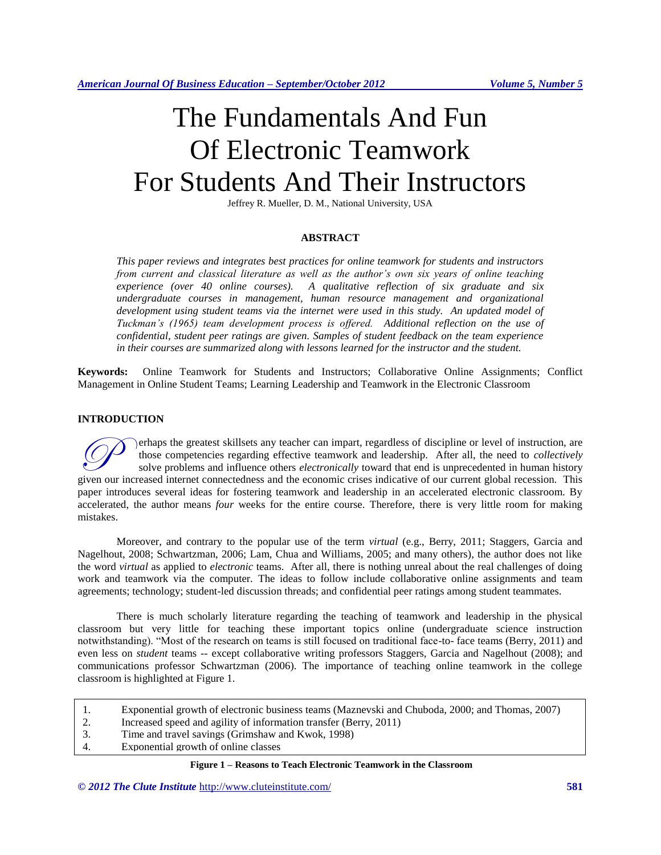# The Fundamentals And Fun Of Electronic Teamwork For Students And Their Instructors

Jeffrey R. Mueller, D. M., National University, USA

# **ABSTRACT**

*This paper reviews and integrates best practices for online teamwork for students and instructors from current and classical literature as well as the author's own six years of online teaching experience (over 40 online courses). A qualitative reflection of six graduate and six undergraduate courses in management, human resource management and organizational development using student teams via the internet were used in this study. An updated model of Tuckman's (1965) team development process is offered. Additional reflection on the use of confidential, student peer ratings are given. Samples of student feedback on the team experience in their courses are summarized along with lessons learned for the instructor and the student.*

**Keywords:** Online Teamwork for Students and Instructors; Collaborative Online Assignments; Conflict Management in Online Student Teams; Learning Leadership and Teamwork in the Electronic Classroom

# **INTRODUCTION**

erhaps the greatest skillsets any teacher can impart, regardless of discipline or level of instruction, are those competencies regarding effective teamwork and leadership. After all, the need to *collectively* solve problems and influence others *electronically* toward that end is unprecedented in human history The expected internet skillsets any teacher can impart, regardless of discipline or level of instruction, are those competencies regarding effective teamwork and leadership. After all, the need to *collectively* solve prob paper introduces several ideas for fostering teamwork and leadership in an accelerated electronic classroom. By accelerated, the author means *four* weeks for the entire course. Therefore, there is very little room for making mistakes.

Moreover, and contrary to the popular use of the term *virtual* (e.g., Berry, 2011; Staggers, Garcia and Nagelhout, 2008; Schwartzman, 2006; Lam, Chua and Williams, 2005; and many others), the author does not like the word *virtual* as applied to *electronic* teams. After all, there is nothing unreal about the real challenges of doing work and teamwork via the computer. The ideas to follow include collaborative online assignments and team agreements; technology; student-led discussion threads; and confidential peer ratings among student teammates.

There is much scholarly literature regarding the teaching of teamwork and leadership in the physical classroom but very little for teaching these important topics online (undergraduate science instruction notwithstanding). "Most of the research on teams is still focused on traditional face-to- face teams (Berry, 2011) and even less on *student* teams -- except collaborative writing professors Staggers, Garcia and Nagelhout (2008); and communications professor Schwartzman (2006). The importance of teaching online teamwork in the college classroom is highlighted at Figure 1.

- 1. Exponential growth of electronic business teams (Maznevski and Chuboda, 2000; and Thomas, 2007)
- 2. Increased speed and agility of information transfer (Berry, 2011)
- 3. Time and travel savings (Grimshaw and Kwok, 1998)
- 4. Exponential growth of online classes

**Figure 1 – Reasons to Teach Electronic Teamwork in the Classroom**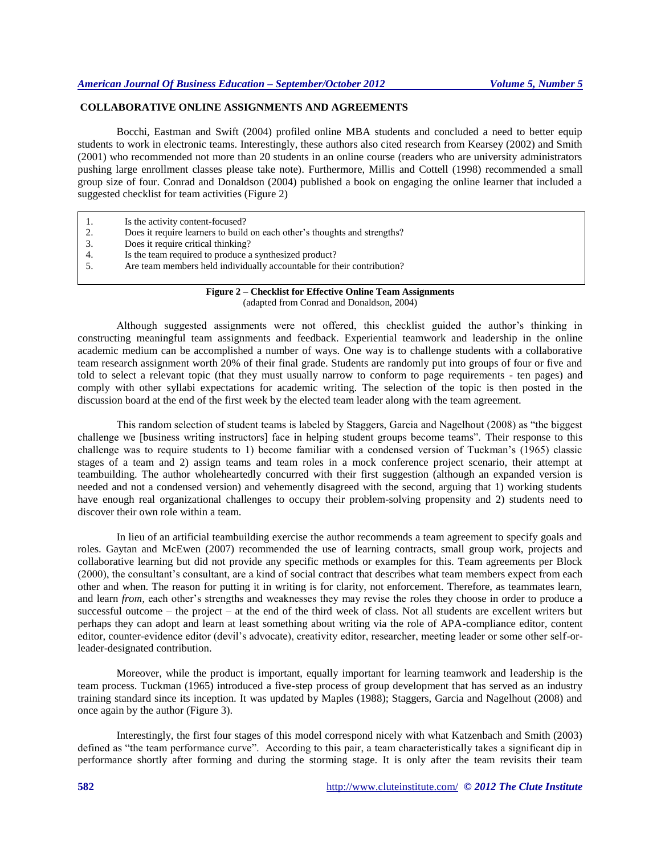# **COLLABORATIVE ONLINE ASSIGNMENTS AND AGREEMENTS**

Bocchi, Eastman and Swift (2004) profiled online MBA students and concluded a need to better equip students to work in electronic teams. Interestingly, these authors also cited research from Kearsey (2002) and Smith (2001) who recommended not more than 20 students in an online course (readers who are university administrators pushing large enrollment classes please take note). Furthermore, Millis and Cottell (1998) recommended a small group size of four. Conrad and Donaldson (2004) published a book on engaging the online learner that included a suggested checklist for team activities (Figure 2)

- 2. Does it require learners to build on each other's thoughts and strengths?<br>3. Does it require critical thinking?
- Does it require critical thinking?
- 4. Is the team required to produce a synthesized product?<br>5. Are team members held individually accountable for the
- Are team members held individually accountable for their contribution?

# **Figure 2 – Checklist for Effective Online Team Assignments** (adapted from Conrad and Donaldson, 2004)

Although suggested assignments were not offered, this checklist guided the author's thinking in constructing meaningful team assignments and feedback. Experiential teamwork and leadership in the online academic medium can be accomplished a number of ways. One way is to challenge students with a collaborative team research assignment worth 20% of their final grade. Students are randomly put into groups of four or five and told to select a relevant topic (that they must usually narrow to conform to page requirements - ten pages) and comply with other syllabi expectations for academic writing. The selection of the topic is then posted in the discussion board at the end of the first week by the elected team leader along with the team agreement.

This random selection of student teams is labeled by Staggers, Garcia and Nagelhout (2008) as "the biggest challenge we [business writing instructors] face in helping student groups become teams". Their response to this challenge was to require students to 1) become familiar with a condensed version of Tuckman's (1965) classic stages of a team and 2) assign teams and team roles in a mock conference project scenario, their attempt at teambuilding. The author wholeheartedly concurred with their first suggestion (although an expanded version is needed and not a condensed version) and vehemently disagreed with the second, arguing that 1) working students have enough real organizational challenges to occupy their problem-solving propensity and 2) students need to discover their own role within a team.

In lieu of an artificial teambuilding exercise the author recommends a team agreement to specify goals and roles. Gaytan and McEwen (2007) recommended the use of learning contracts, small group work, projects and collaborative learning but did not provide any specific methods or examples for this. Team agreements per Block (2000), the consultant's consultant, are a kind of social contract that describes what team members expect from each other and when. The reason for putting it in writing is for clarity, not enforcement. Therefore, as teammates learn, and learn *from,* each other's strengths and weaknesses they may revise the roles they choose in order to produce a successful outcome – the project – at the end of the third week of class. Not all students are excellent writers but perhaps they can adopt and learn at least something about writing via the role of APA-compliance editor, content editor, counter-evidence editor (devil's advocate), creativity editor, researcher, meeting leader or some other self-orleader-designated contribution.

Moreover, while the product is important, equally important for learning teamwork and leadership is the team process. Tuckman (1965) introduced a five-step process of group development that has served as an industry training standard since its inception. It was updated by Maples (1988); Staggers, Garcia and Nagelhout (2008) and once again by the author (Figure 3).

Interestingly, the first four stages of this model correspond nicely with what Katzenbach and Smith (2003) defined as "the team performance curve". According to this pair, a team characteristically takes a significant dip in performance shortly after forming and during the storming stage. It is only after the team revisits their team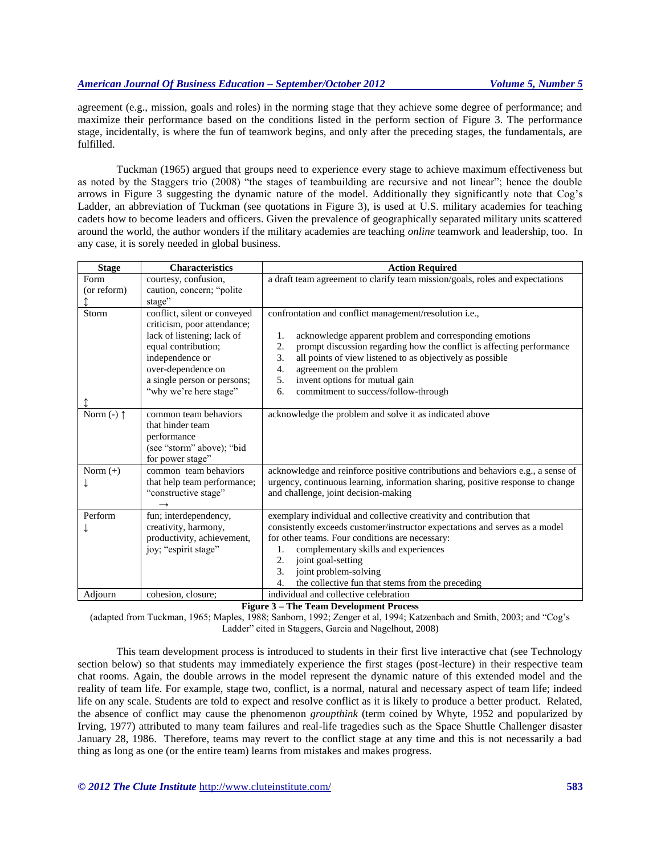agreement (e.g., mission, goals and roles) in the norming stage that they achieve some degree of performance; and maximize their performance based on the conditions listed in the perform section of Figure 3. The performance stage, incidentally, is where the fun of teamwork begins, and only after the preceding stages, the fundamentals, are fulfilled.

Tuckman (1965) argued that groups need to experience every stage to achieve maximum effectiveness but as noted by the Staggers trio (2008) "the stages of teambuilding are recursive and not linear"; hence the double arrows in Figure 3 suggesting the dynamic nature of the model. Additionally they significantly note that Cog's Ladder, an abbreviation of Tuckman (see quotations in Figure 3), is used at U.S. military academies for teaching cadets how to become leaders and officers. Given the prevalence of geographically separated military units scattered around the world, the author wonders if the military academies are teaching *online* teamwork and leadership, too. In any case, it is sorely needed in global business.

| <b>Stage</b>          | <b>Characteristics</b>       | <b>Action Required</b>                                                          |
|-----------------------|------------------------------|---------------------------------------------------------------------------------|
| Form                  | courtesy, confusion,         | a draft team agreement to clarify team mission/goals, roles and expectations    |
| (or reform)           | caution, concern; "polite    |                                                                                 |
|                       | stage"                       |                                                                                 |
| Storm                 | conflict, silent or conveyed | confrontation and conflict management/resolution i.e.,                          |
|                       | criticism, poor attendance;  |                                                                                 |
|                       | lack of listening; lack of   | acknowledge apparent problem and corresponding emotions<br>1.                   |
|                       | equal contribution;          | prompt discussion regarding how the conflict is affecting performance<br>2.     |
|                       | independence or              | all points of view listened to as objectively as possible<br>3.                 |
|                       | over-dependence on           | 4.<br>agreement on the problem                                                  |
|                       | a single person or persons;  | invent options for mutual gain<br>5.                                            |
|                       | "why we're here stage"       | commitment to success/follow-through<br>6.                                      |
|                       |                              |                                                                                 |
| Norm $(-)$ $\uparrow$ | common team behaviors        | acknowledge the problem and solve it as indicated above                         |
|                       | that hinder team             |                                                                                 |
|                       | performance                  |                                                                                 |
|                       | (see "storm" above); "bid    |                                                                                 |
|                       | for power stage"             |                                                                                 |
| Norm $(+)$            | common team behaviors        | acknowledge and reinforce positive contributions and behaviors e.g., a sense of |
|                       | that help team performance;  | urgency, continuous learning, information sharing, positive response to change  |
|                       | "constructive stage"         | and challenge, joint decision-making                                            |
|                       |                              |                                                                                 |
| Perform               | fun; interdependency,        | exemplary individual and collective creativity and contribution that            |
|                       | creativity, harmony,         | consistently exceeds customer/instructor expectations and serves as a model     |
|                       | productivity, achievement,   | for other teams. Four conditions are necessary:                                 |
|                       | joy; "espirit stage"         | complementary skills and experiences<br>1.                                      |
|                       |                              | joint goal-setting<br>2.                                                        |
|                       |                              | 3.<br>joint problem-solving                                                     |
|                       |                              | the collective fun that stems from the preceding<br>4.                          |
| Adjourn               | cohesion, closure;           | individual and collective celebration                                           |

### **Figure 3 – The Team Development Process**

(adapted from Tuckman, 1965; Maples, 1988; Sanborn, 1992; Zenger et al, 1994; Katzenbach and Smith, 2003; and "Cog's Ladder" cited in Staggers, Garcia and Nagelhout, 2008)

This team development process is introduced to students in their first live interactive chat (see Technology section below) so that students may immediately experience the first stages (post-lecture) in their respective team chat rooms. Again, the double arrows in the model represent the dynamic nature of this extended model and the reality of team life. For example, stage two, conflict, is a normal, natural and necessary aspect of team life; indeed life on any scale. Students are told to expect and resolve conflict as it is likely to produce a better product. Related, the absence of conflict may cause the phenomenon *groupthink* (term coined by Whyte, 1952 and popularized by Irving, 1977) attributed to many team failures and real-life tragedies such as the Space Shuttle Challenger disaster January 28, 1986. Therefore, teams may revert to the conflict stage at any time and this is not necessarily a bad thing as long as one (or the entire team) learns from mistakes and makes progress.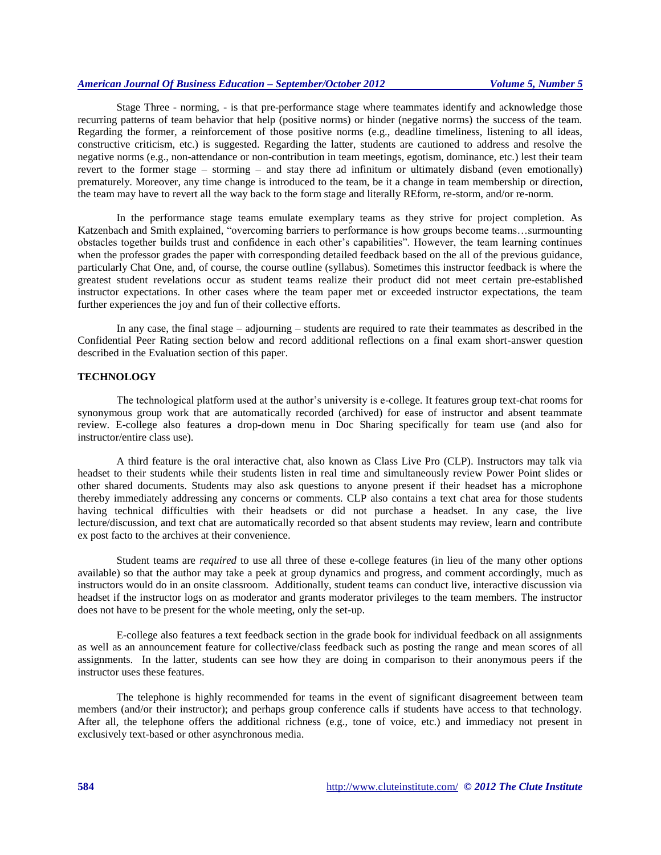Stage Three - norming, - is that pre-performance stage where teammates identify and acknowledge those recurring patterns of team behavior that help (positive norms) or hinder (negative norms) the success of the team. Regarding the former, a reinforcement of those positive norms (e.g., deadline timeliness, listening to all ideas, constructive criticism, etc.) is suggested. Regarding the latter, students are cautioned to address and resolve the negative norms (e.g., non-attendance or non-contribution in team meetings, egotism, dominance, etc.) lest their team revert to the former stage – storming – and stay there ad infinitum or ultimately disband (even emotionally) prematurely. Moreover, any time change is introduced to the team, be it a change in team membership or direction, the team may have to revert all the way back to the form stage and literally REform, re-storm, and/or re-norm.

In the performance stage teams emulate exemplary teams as they strive for project completion. As Katzenbach and Smith explained, "overcoming barriers to performance is how groups become teams…surmounting obstacles together builds trust and confidence in each other's capabilities". However, the team learning continues when the professor grades the paper with corresponding detailed feedback based on the all of the previous guidance, particularly Chat One, and, of course, the course outline (syllabus). Sometimes this instructor feedback is where the greatest student revelations occur as student teams realize their product did not meet certain pre-established instructor expectations. In other cases where the team paper met or exceeded instructor expectations, the team further experiences the joy and fun of their collective efforts.

In any case, the final stage – adjourning – students are required to rate their teammates as described in the Confidential Peer Rating section below and record additional reflections on a final exam short-answer question described in the Evaluation section of this paper.

# **TECHNOLOGY**

The technological platform used at the author's university is e-college. It features group text-chat rooms for synonymous group work that are automatically recorded (archived) for ease of instructor and absent teammate review. E-college also features a drop-down menu in Doc Sharing specifically for team use (and also for instructor/entire class use).

A third feature is the oral interactive chat, also known as Class Live Pro (CLP). Instructors may talk via headset to their students while their students listen in real time and simultaneously review Power Point slides or other shared documents. Students may also ask questions to anyone present if their headset has a microphone thereby immediately addressing any concerns or comments. CLP also contains a text chat area for those students having technical difficulties with their headsets or did not purchase a headset. In any case, the live lecture/discussion, and text chat are automatically recorded so that absent students may review, learn and contribute ex post facto to the archives at their convenience.

Student teams are *required* to use all three of these e-college features (in lieu of the many other options available) so that the author may take a peek at group dynamics and progress, and comment accordingly, much as instructors would do in an onsite classroom. Additionally, student teams can conduct live, interactive discussion via headset if the instructor logs on as moderator and grants moderator privileges to the team members. The instructor does not have to be present for the whole meeting, only the set-up.

E-college also features a text feedback section in the grade book for individual feedback on all assignments as well as an announcement feature for collective/class feedback such as posting the range and mean scores of all assignments. In the latter, students can see how they are doing in comparison to their anonymous peers if the instructor uses these features.

The telephone is highly recommended for teams in the event of significant disagreement between team members (and/or their instructor); and perhaps group conference calls if students have access to that technology. After all, the telephone offers the additional richness (e.g., tone of voice, etc.) and immediacy not present in exclusively text-based or other asynchronous media.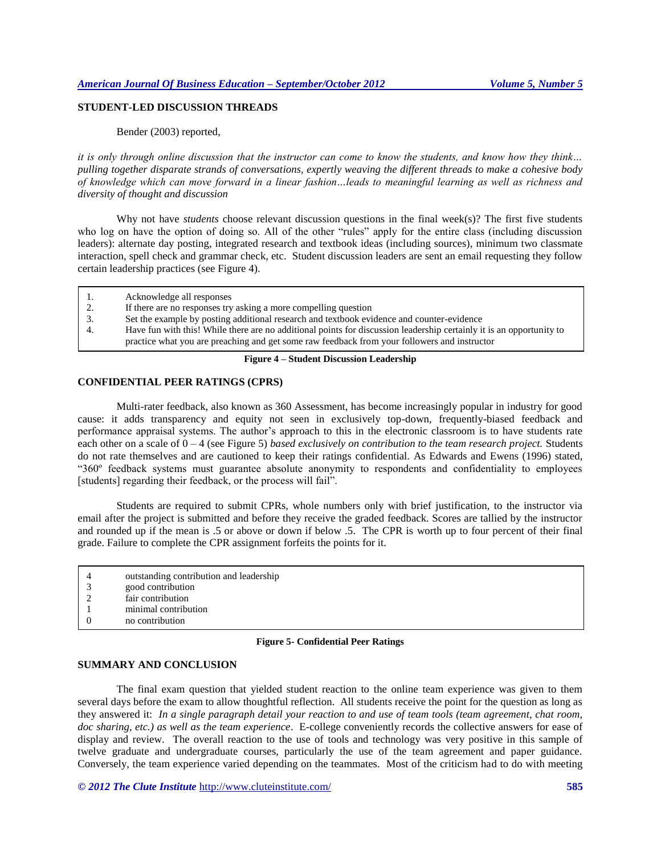# **STUDENT-LED DISCUSSION THREADS**

Bender (2003) reported,

*it is only through online discussion that the instructor can come to know the students, and know how they think… pulling together disparate strands of conversations, expertly weaving the different threads to make a cohesive body of knowledge which can move forward in a linear fashion…leads to meaningful learning as well as richness and diversity of thought and discussion*

Why not have *students* choose relevant discussion questions in the final week(s)? The first five students who log on have the option of doing so. All of the other "rules" apply for the entire class (including discussion leaders): alternate day posting, integrated research and textbook ideas (including sources), minimum two classmate interaction, spell check and grammar check, etc. Student discussion leaders are sent an email requesting they follow certain leadership practices (see Figure 4).

|                 | Acknowledge all responses                                                                                            |
|-----------------|----------------------------------------------------------------------------------------------------------------------|
| $\mathcal{L}$ . | If there are no responses try asking a more compelling question                                                      |
|                 | Set the example by posting additional research and textbook evidence and counter-evidence                            |
|                 | Have fun with this! While there are no additional points for discussion leadership certainly it is an opportunity to |
|                 | practice what you are preaching and get some raw feedback from your followers and instructor                         |
|                 |                                                                                                                      |

### **Figure 4 – Student Discussion Leadership**

### **CONFIDENTIAL PEER RATINGS (CPRS)**

Multi-rater feedback, also known as 360 Assessment, has become increasingly popular in industry for good cause: it adds transparency and equity not seen in exclusively top-down, frequently-biased feedback and performance appraisal systems. The author's approach to this in the electronic classroom is to have students rate each other on a scale of 0 – 4 (see Figure 5) *based exclusively on contribution to the team research project.* Students do not rate themselves and are cautioned to keep their ratings confidential. As Edwards and Ewens (1996) stated, "360º feedback systems must guarantee absolute anonymity to respondents and confidentiality to employees [students] regarding their feedback, or the process will fail".

Students are required to submit CPRs, whole numbers only with brief justification, to the instructor via email after the project is submitted and before they receive the graded feedback. Scores are tallied by the instructor and rounded up if the mean is .5 or above or down if below .5. The CPR is worth up to four percent of their final grade. Failure to complete the CPR assignment forfeits the points for it.

- 4 outstanding contribution and leadership
- 3 good contribution
- 2 fair contribution
- 1 minimal contribution<br>0 mo contribution
- 0 no contribution

#### **Figure 5- Confidential Peer Ratings**

# **SUMMARY AND CONCLUSION**

The final exam question that yielded student reaction to the online team experience was given to them several days before the exam to allow thoughtful reflection. All students receive the point for the question as long as they answered it: *In a single paragraph detail your reaction to and use of team tools (team agreement, chat room, doc sharing, etc.) as well as the team experience*. E-college conveniently records the collective answers for ease of display and review. The overall reaction to the use of tools and technology was very positive in this sample of twelve graduate and undergraduate courses, particularly the use of the team agreement and paper guidance. Conversely, the team experience varied depending on the teammates. Most of the criticism had to do with meeting

*© 2012 The Clute Institute* http://www.cluteinstitute.com/ **585**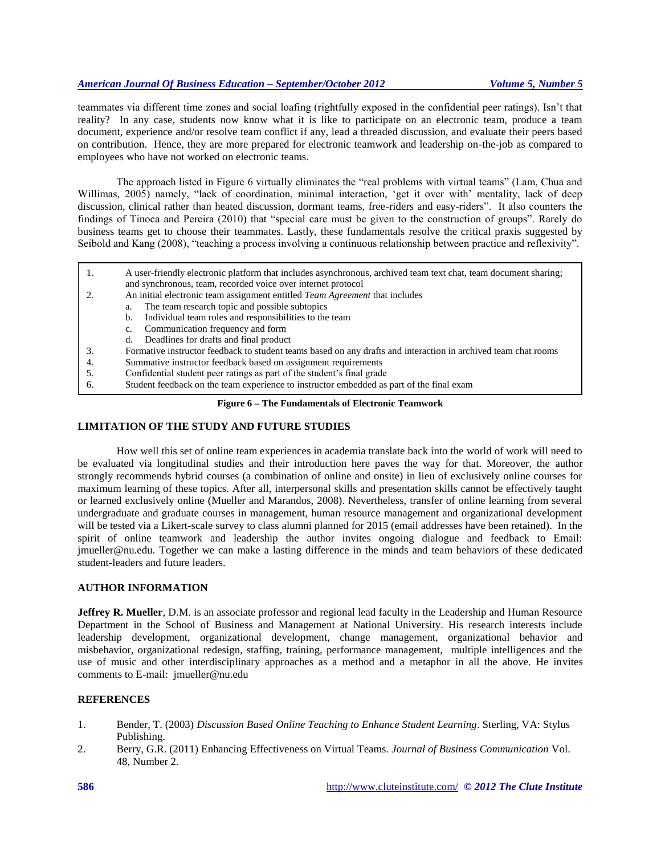teammates via different time zones and social loafing (rightfully exposed in the confidential peer ratings). Isn't that reality? In any case, students now know what it is like to participate on an electronic team, produce a team document, experience and/or resolve team conflict if any, lead a threaded discussion, and evaluate their peers based on contribution. Hence, they are more prepared for electronic teamwork and leadership on-the-job as compared to employees who have not worked on electronic teams.

The approach listed in Figure 6 virtually eliminates the "real problems with virtual teams" (Lam, Chua and Willimas, 2005) namely, "lack of coordination, minimal interaction, 'get it over with' mentality, lack of deep discussion, clinical rather than heated discussion, dormant teams, free-riders and easy-riders". It also counters the findings of Tinoca and Pereira (2010) that "special care must be given to the construction of groups". Rarely do business teams get to choose their teammates. Lastly, these fundamentals resolve the critical praxis suggested by Seibold and Kang (2008), "teaching a process involving a continuous relationship between practice and reflexivity".

- 1. A user-friendly electronic platform that includes asynchronous, archived team text chat, team document sharing; and synchronous, team, recorded voice over internet protocol
- 2. An initial electronic team assignment entitled *Team Agreement* that includes
	- a. The team research topic and possible subtopics
	- b. Individual team roles and responsibilities to the team
		- c. Communication frequency and form
	- d. Deadlines for drafts and final product
- 3. Formative instructor feedback to student teams based on any drafts and interaction in archived team chat rooms
- 4. Summative instructor feedback based on assignment requirements
- 5. Confidential student peer ratings as part of the student's final grade
- 6. Student feedback on the team experience to instructor embedded as part of the final exam

# **Figure 6 – The Fundamentals of Electronic Teamwork**

# **LIMITATION OF THE STUDY AND FUTURE STUDIES**

How well this set of online team experiences in academia translate back into the world of work will need to be evaluated via longitudinal studies and their introduction here paves the way for that. Moreover, the author strongly recommends hybrid courses (a combination of online and onsite) in lieu of exclusively online courses for maximum learning of these topics. After all, interpersonal skills and presentation skills cannot be effectively taught or learned exclusively online (Mueller and Marandos, 2008). Nevertheless, transfer of online learning from several undergraduate and graduate courses in management, human resource management and organizational development will be tested via a Likert-scale survey to class alumni planned for 2015 (email addresses have been retained). In the spirit of online teamwork and leadership the author invites ongoing dialogue and feedback to Email: jmueller@nu.edu. Together we can make a lasting difference in the minds and team behaviors of these dedicated student-leaders and future leaders.

# **AUTHOR INFORMATION**

**Jeffrey R. Mueller**, D.M. is an associate professor and regional lead faculty in the Leadership and Human Resource Department in the School of Business and Management at National University. His research interests include leadership development, organizational development, change management, organizational behavior and misbehavior, organizational redesign, staffing, training, performance management, multiple intelligences and the use of music and other interdisciplinary approaches as a method and a metaphor in all the above. He invites comments to E-mail: jmueller@nu.edu

# **REFERENCES**

- 1. Bender, T. (2003) *Discussion Based Online Teaching to Enhance Student Learning*. Sterling, VA: Stylus Publishing.
- 2. Berry, G.R. (2011) Enhancing Effectiveness on Virtual Teams. *Journal of Business Communication* Vol. 48, Number 2.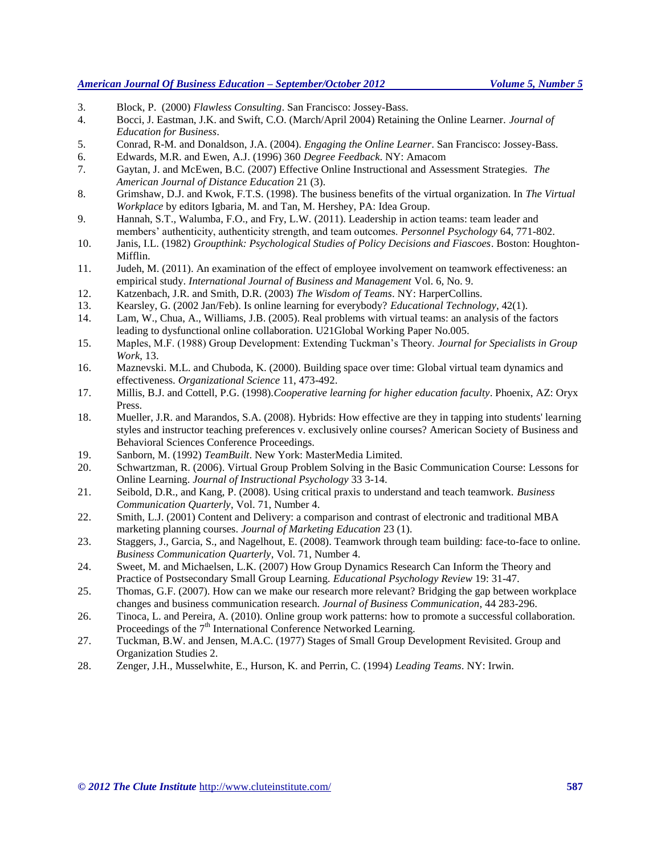- 3. Block, P. (2000) *Flawless Consulting*. San Francisco: Jossey-Bass.
- 4. Bocci, J. Eastman, J.K. and Swift, C.O. (March/April 2004) Retaining the Online Learner. *Journal of Education for Business*.
- 5. Conrad, R-M. and Donaldson, J.A. (2004). *Engaging the Online Learner*. San Francisco: Jossey-Bass.
- 6. Edwards, M.R. and Ewen, A.J. (1996) 360 *Degree Feedback*. NY: Amacom
- 7. Gaytan, J. and McEwen, B.C. (2007) Effective Online Instructional and Assessment Strategies. *The American Journal of Distance Education* 21 (3).
- 8. Grimshaw, D.J. and Kwok, F.T.S. (1998). The business benefits of the virtual organization. In *The Virtual Workplace* by editors Igbaria, M. and Tan, M. Hershey, PA: Idea Group.
- 9. Hannah, S.T., Walumba, F.O., and Fry, L.W. (2011). Leadership in action teams: team leader and members' authenticity, authenticity strength, and team outcomes. *Personnel Psychology* 64, 771-802.
- 10. Janis, I.L. (1982) *Groupthink: Psychological Studies of Policy Decisions and Fiascoes*. Boston: Houghton-Mifflin.
- 11. Judeh, M. (2011). An examination of the effect of employee involvement on teamwork effectiveness: an empirical study. *International Journal of Business and Management* Vol. 6, No. 9.
- 12. Katzenbach, J.R. and Smith, D.R. (2003) *The Wisdom of Teams*. NY: HarperCollins.
- 13. Kearsley, G. (2002 Jan/Feb). Is online learning for everybody? *Educational Technology*, 42(1).
- 14. Lam, W., Chua, A., Williams, J.B. (2005). Real problems with virtual teams: an analysis of the factors leading to dysfunctional online collaboration. U21Global Working Paper No.005.
- 15. Maples, M.F. (1988) Group Development: Extending Tuckman's Theory. *Journal for Specialists in Group Work*, 13.
- 16. Maznevski. M.L. and Chuboda, K. (2000). Building space over time: Global virtual team dynamics and effectiveness. *Organizational Science* 11, 473-492.
- 17. Millis, B.J. and Cottell, P.G. (1998).*Cooperative learning for higher education faculty*. Phoenix, AZ: Oryx Press.
- 18. Mueller, J.R. and Marandos, S.A. (2008). Hybrids: How effective are they in tapping into students' learning styles and instructor teaching preferences v. exclusively online courses? American Society of Business and Behavioral Sciences Conference Proceedings.
- 19. Sanborn, M. (1992) *TeamBuilt*. New York: MasterMedia Limited.
- 20. Schwartzman, R. (2006). Virtual Group Problem Solving in the Basic Communication Course: Lessons for Online Learning. *Journal of Instructional Psychology* 33 3-14.
- 21. Seibold, D.R., and Kang, P. (2008). Using critical praxis to understand and teach teamwork. *Business Communication Quarterly*, Vol. 71, Number 4.
- 22. Smith, L.J. (2001) Content and Delivery: a comparison and contrast of electronic and traditional MBA marketing planning courses. *Journal of Marketing Education* 23 (1).
- 23. Staggers, J., Garcia, S., and Nagelhout, E. (2008). Teamwork through team building: face-to-face to online. *Business Communication Quarterly*, Vol. 71, Number 4.
- 24. Sweet, M. and Michaelsen, L.K. (2007) How Group Dynamics Research Can Inform the Theory and Practice of Postsecondary Small Group Learning. *Educational Psychology Review* 19: 31-47.
- 25. Thomas, G.F. (2007). How can we make our research more relevant? Bridging the gap between workplace changes and business communication research. *Journal of Business Communication*, 44 283-296.
- 26. Tinoca, L. and Pereira, A. (2010). Online group work patterns: how to promote a successful collaboration. Proceedings of the 7<sup>th</sup> International Conference Networked Learning.
- 27. Tuckman, B.W. and Jensen, M.A.C. (1977) Stages of Small Group Development Revisited. Group and Organization Studies 2.
- 28. Zenger, J.H., Musselwhite, E., Hurson, K. and Perrin, C. (1994) *Leading Teams*. NY: Irwin.